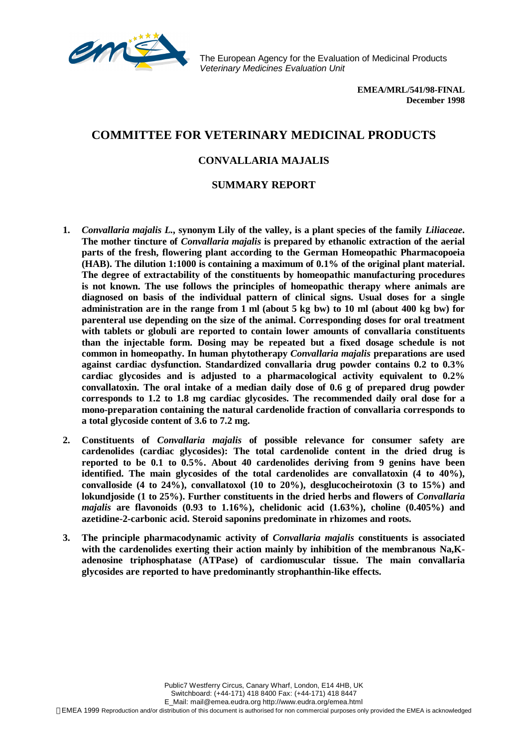

The European Agency for the Evaluation of Medicinal Products *Veterinary Medicines Evaluation Unit*

> **EMEA/MRL/541/98-FINAL December 1998**

## **COMMITTEE FOR VETERINARY MEDICINAL PRODUCTS**

## **CONVALLARIA MAJALIS**

## **SUMMARY REPORT**

- **1.** *Convallaria majalis L.***, synonym Lily of the valley, is a plant species of the family** *Liliaceae***. The mother tincture of** *Convallaria majalis* **is prepared by ethanolic extraction of the aerial parts of the fresh, flowering plant according to the German Homeopathic Pharmacopoeia (HAB). The dilution 1:1000 is containing a maximum of 0.1% of the original plant material. The degree of extractability of the constituents by homeopathic manufacturing procedures is not known. The use follows the principles of homeopathic therapy where animals are diagnosed on basis of the individual pattern of clinical signs. Usual doses for a single administration are in the range from 1 ml (about 5 kg bw) to 10 ml (about 400 kg bw) for parenteral use depending on the size of the animal. Corresponding doses for oral treatment with tablets or globuli are reported to contain lower amounts of convallaria constituents than the injectable form. Dosing may be repeated but a fixed dosage schedule is not common in homeopathy. In human phytotherapy** *Convallaria majalis* **preparations are used against cardiac dysfunction. Standardized convallaria drug powder contains 0.2 to 0.3% cardiac glycosides and is adjusted to a pharmacological activity equivalent to 0.2% convallatoxin. The oral intake of a median daily dose of 0.6 g of prepared drug powder corresponds to 1.2 to 1.8 mg cardiac glycosides. The recommended daily oral dose for a mono-preparation containing the natural cardenolide fraction of convallaria corresponds to a total glycoside content of 3.6 to 7.2 mg.**
- **2. Constituents of** *Convallaria majalis* **of possible relevance for consumer safety are cardenolides (cardiac glycosides): The total cardenolide content in the dried drug is reported to be 0.1 to 0.5%. About 40 cardenolides deriving from 9 genins have been identified. The main glycosides of the total cardenolides are convallatoxin (4 to 40%), convalloside (4 to 24%), convallatoxol (10 to 20%), desglucocheirotoxin (3 to 15%) and lokundjoside (1 to 25%). Further constituents in the dried herbs and flowers of** *Convallaria majalis* **are flavonoids (0.93 to 1.16%), chelidonic acid (1.63%), choline (0.405%) and azetidine-2-carbonic acid. Steroid saponins predominate in rhizomes and roots.**
- **3. The principle pharmacodynamic activity of** *Convallaria majalis* **constituents is associated** with the cardenolides exerting their action mainly by inhibition of the membranous Na.K**adenosine triphosphatase (ATPase) of cardiomuscular tissue. The main convallaria glycosides are reported to have predominantly strophanthin-like effects.**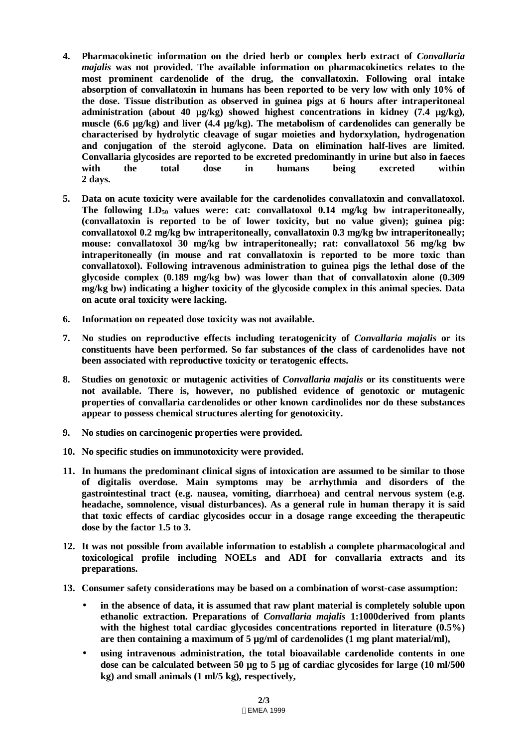- **4. Pharmacokinetic information on the dried herb or complex herb extract of** *Convallaria majalis* **was not provided. The available information on pharmacokinetics relates to the most prominent cardenolide of the drug, the convallatoxin. Following oral intake absorption of convallatoxin in humans has been reported to be very low with only 10% of the dose. Tissue distribution as observed in guinea pigs at 6 hours after intraperitoneal administration (about 40 µg/kg) showed highest concentrations in kidney (7.4 µg/kg), muscle (6.6 µg/kg) and liver (4.4 µg/kg). The metabolism of cardenolides can generally be characterised by hydrolytic cleavage of sugar moieties and hydorxylation, hydrogenation and conjugation of the steroid aglycone. Data on elimination half-lives are limited. Convallaria glycosides are reported to be excreted predominantly in urine but also in faeces with the total dose in humans being excreted within 2 days.**
- **5. Data on acute toxicity were available for the cardenolides convallatoxin and convallatoxol. The following LD50 values were: cat: convallatoxol 0.14 mg/kg bw intraperitoneally, (convallatoxin is reported to be of lower toxicity, but no value given); guinea pig: convallatoxol 0.2 mg/kg bw intraperitoneally, convallatoxin 0.3 mg/kg bw intraperitoneally; mouse: convallatoxol 30 mg/kg bw intraperitoneally; rat: convallatoxol 56 mg/kg bw intraperitoneally (in mouse and rat convallatoxin is reported to be more toxic than convallatoxol). Following intravenous administration to guinea pigs the lethal dose of the glycoside complex (0.189 mg/kg bw) was lower than that of convallatoxin alone (0.309 mg/kg bw) indicating a higher toxicity of the glycoside complex in this animal species. Data on acute oral toxicity were lacking.**
- **6. Information on repeated dose toxicity was not available.**
- **7. No studies on reproductive effects including teratogenicity of** *Convallaria majalis* **or its constituents have been performed. So far substances of the class of cardenolides have not been associated with reproductive toxicity or teratogenic effects.**
- **8. Studies on genotoxic or mutagenic activities of** *Convallaria majalis* **or its constituents were not available. There is, however, no published evidence of genotoxic or mutagenic properties of convallaria cardenolides or other known cardinolides nor do these substances appear to possess chemical structures alerting for genotoxicity.**
- **9. No studies on carcinogenic properties were provided.**
- **10. No specific studies on immunotoxicity were provided.**
- **11. In humans the predominant clinical signs of intoxication are assumed to be similar to those of digitalis overdose. Main symptoms may be arrhythmia and disorders of the gastrointestinal tract (e.g. nausea, vomiting, diarrhoea) and central nervous system (e.g. headache, somnolence, visual disturbances). As a general rule in human therapy it is said that toxic effects of cardiac glycosides occur in a dosage range exceeding the therapeutic dose by the factor 1.5 to 3.**
- **12. It was not possible from available information to establish a complete pharmacological and toxicological profile including NOELs and ADI for convallaria extracts and its preparations.**
- **13. Consumer safety considerations may be based on a combination of worst-case assumption:**
	- **in the absence of data, it is assumed that raw plant material is completely soluble upon ethanolic extraction. Preparations of** *Convallaria majalis* **1:1000derived from plants with the highest total cardiac glycosides concentrations reported in literature (0.5%)** are then containing a maximum of  $5 \mu g/ml$  of cardenolides (1 mg plant material/ml),
	- **using intravenous administration, the total bioavailable cardenolide contents in one dose can be calculated between 50 µg to 5 µg of cardiac glycosides for large (10 ml/500 kg) and small animals (1 ml/5 kg), respectively,**